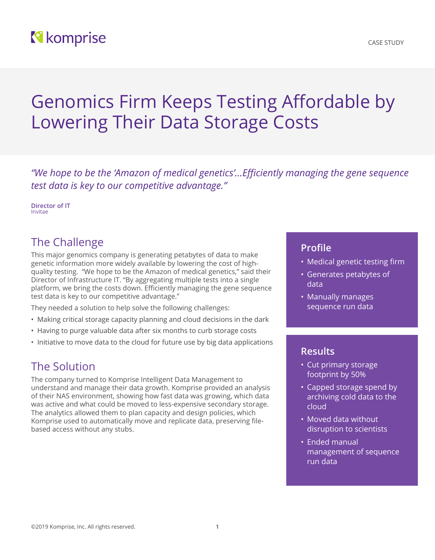## **N** komprise

# Genomics Firm Keeps Testing Affordable by Lowering Their Data Storage Costs

*"We hope to be the 'Amazon of medical genetics'…Efficiently managing the gene sequence test data is key to our competitive advantage."*

**Director of IT** Invitae

## The Challenge

This major genomics company is generating petabytes of data to make genetic information more widely available by lowering the cost of highquality testing. "We hope to be the Amazon of medical genetics," said their Director of Infrastructure IT. "By aggregating multiple tests into a single platform, we bring the costs down. Efficiently managing the gene sequence test data is key to our competitive advantage."

They needed a solution to help solve the following challenges:

- Making critical storage capacity planning and cloud decisions in the dark
- Having to purge valuable data after six months to curb storage costs
- Initiative to move data to the cloud for future use by big data applications

## The Solution

The company turned to Komprise Intelligent Data Management to understand and manage their data growth. Komprise provided an analysis of their NAS environment, showing how fast data was growing, which data was active and what could be moved to less-expensive secondary storage. The analytics allowed them to plan capacity and design policies, which Komprise used to automatically move and replicate data, preserving filebased access without any stubs.

#### **Profile**

- Medical genetic testing firm
- Generates petabytes of data
- Manually manages sequence run data

#### **Results**

- Cut primary storage footprint by 50%
- Capped storage spend by archiving cold data to the cloud
- Moved data without disruption to scientists
- Ended manual management of sequence run data